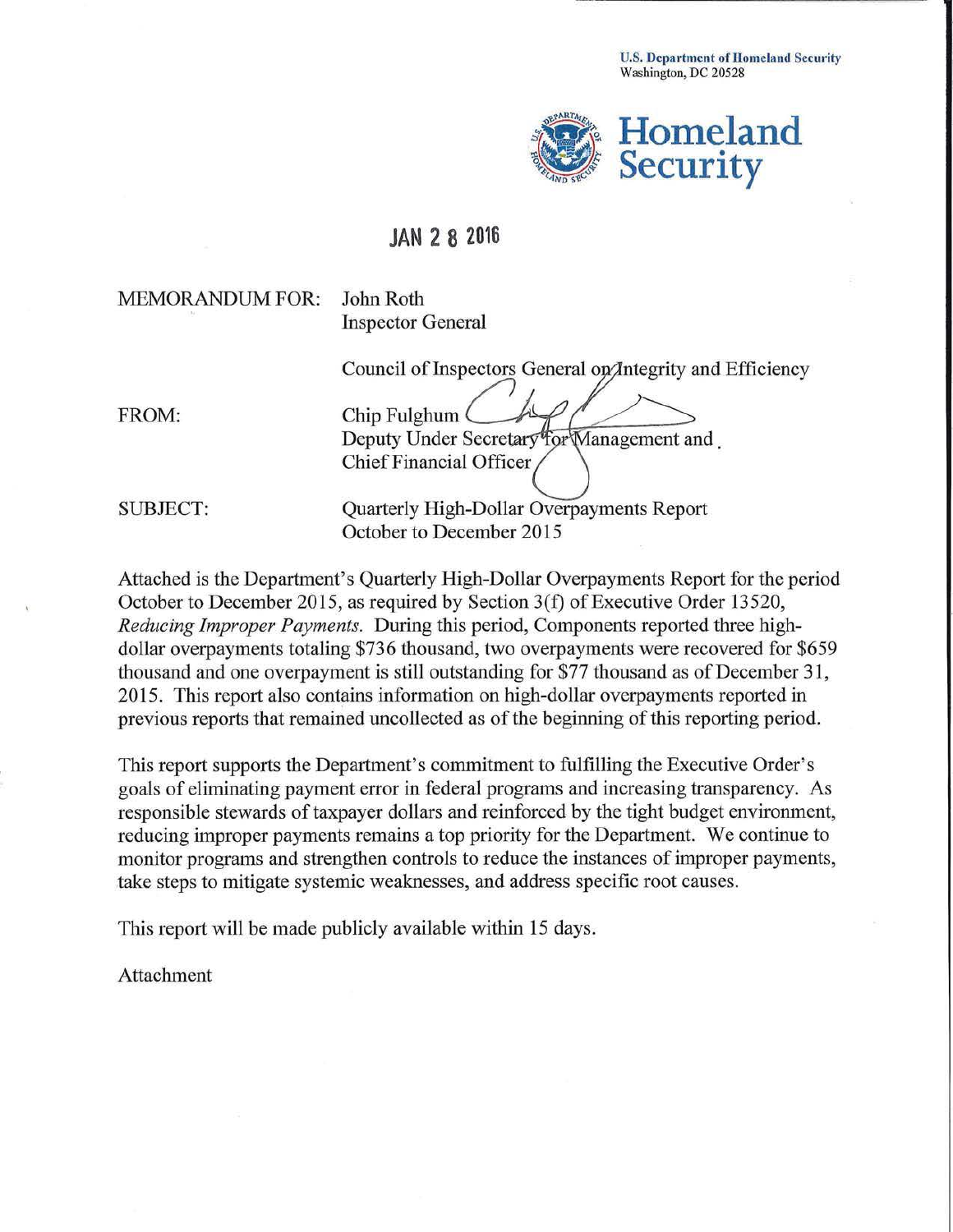U.S. Department of Homeland Security Washington, DC 20528



## **JAN 2 8 2016**

MEMORANDUM FOR: John Roth

Inspector General

Council of Inspectors General on *Antegrity* and Efficiency

FROM: Chip Fulghum Deputy Under Secretary for Management and Chief Financial Officer

SUBJECT: Quarterly High-Dollar Overpayments Report October to December 2015

Attached is the Department's Quarterly High-Dollar Overpayments Report for the period October to December 2015, as required by Section 3(f) of Executive Order 13520, *Reducing Improper Payments.* During this period, Components reported three highdollar overpayments totaling \$736 thousand, two overpayments were recovered for \$659 thousand and one overpayment is still outstanding for \$77 thousand as of December 31, 2015. This report also contains information on high-dollar overpayments reported in previous reports that remained uncollected as of the beginning of this reporting period.

This report supports the Department's commitment to fulfilling the Executive Order's goals of eliminating payment error in federal programs and increasing transparency. As responsible stewards of taxpayer dollars and reinforced by the tight budget environment, reducing improper payments remains a top priority for the Department. We continue to monitor programs and strengthen controls to reduce the instances of improper payments, take steps to mitigate systemic weaknesses, and address specific root causes.

This report will be made publicly available within 15 days.

Attachment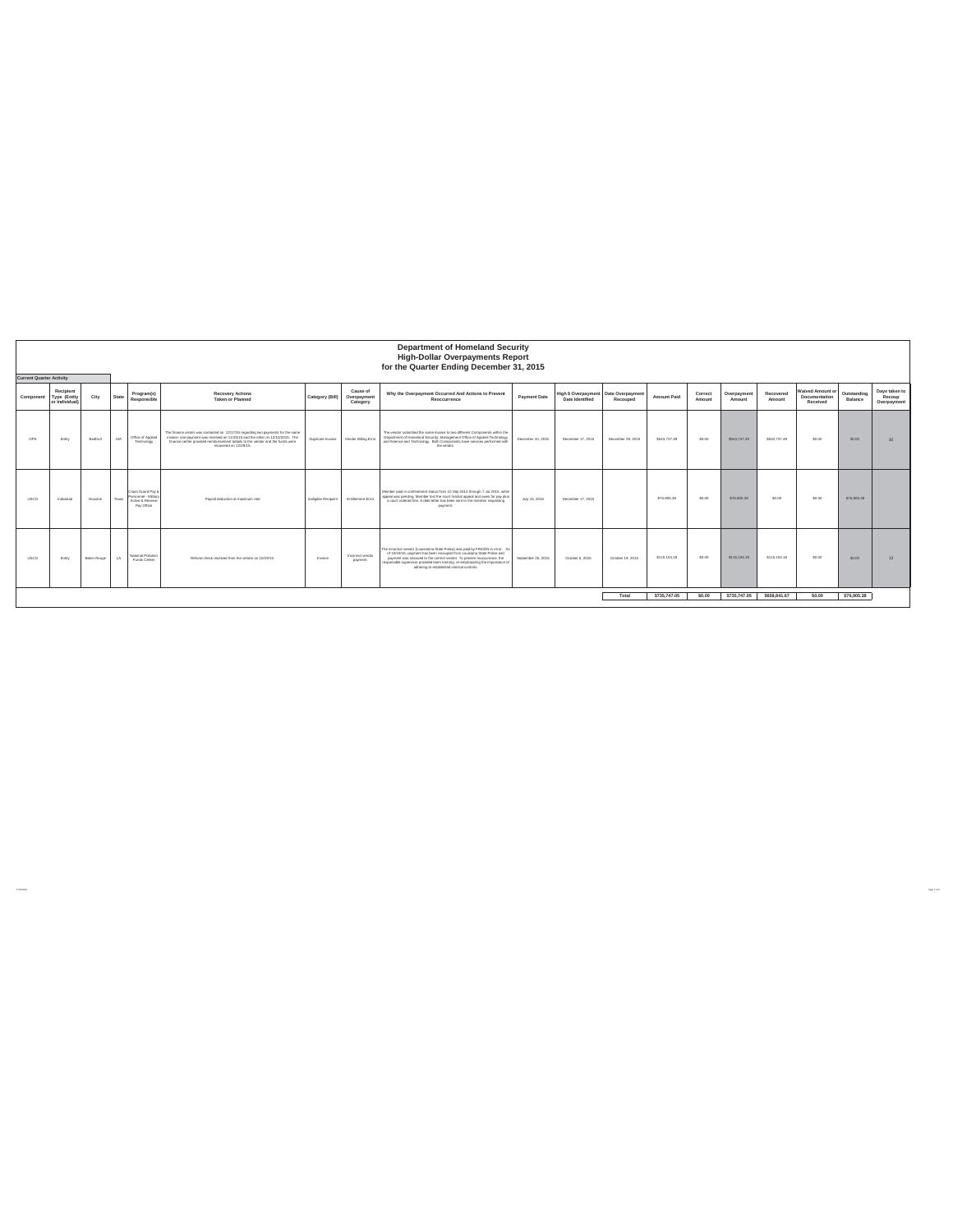|             | <b>Department of Homeland Security</b><br><b>High-Dollar Overpayments Report</b><br>for the Quarter Ending December 31, 2015<br><b>Current Quarter Activity</b> |             |       |                                                                             |                                                                                                                                                                                                                                                                               |                      |                                     |                                                                                                                                                                                                                                                                                                                                                                      |                    |                                                         |                   |                    |                   |                       |                     |                                                      |                        |                                        |
|-------------|-----------------------------------------------------------------------------------------------------------------------------------------------------------------|-------------|-------|-----------------------------------------------------------------------------|-------------------------------------------------------------------------------------------------------------------------------------------------------------------------------------------------------------------------------------------------------------------------------|----------------------|-------------------------------------|----------------------------------------------------------------------------------------------------------------------------------------------------------------------------------------------------------------------------------------------------------------------------------------------------------------------------------------------------------------------|--------------------|---------------------------------------------------------|-------------------|--------------------|-------------------|-----------------------|---------------------|------------------------------------------------------|------------------------|----------------------------------------|
| Component   | Recipient<br>Type (Entity<br>or Individual)                                                                                                                     | City        | State | Program(s)<br>Responsible                                                   | <b>Recovery Actions</b><br>Taken or Planned                                                                                                                                                                                                                                   | Category (Bill)      | Cause of<br>Overpayment<br>Category | Why the Overpayment Occurred And Actions to Prevent<br>Reoccurrence                                                                                                                                                                                                                                                                                                  | Payment Date       | High \$ Overpayment Date Overpayment<br>Date Identified | Recouped          | <b>Amount Paid</b> | Correct<br>Amount | Overpayment<br>Amount | Recovered<br>Amount | <b>Waived Amount or</b><br>Documentation<br>Received | Outstanding<br>Balance | Days taken to<br>Recoup<br>Overpayment |
| OPS         | Entity                                                                                                                                                          | Bedford     | MA    | Office of Applied<br>Technology                                             | The finance center was contacted on 12/17/15 regarding two payments for the same<br>invoice: one payment was received on 11/25/15 and the other on 12/10/2015. The<br>finance center provided reimbursement details to the vendor and the funds were<br>recreated on 12/20/15 | Duplicate Invoice    | Vendor Billing Error                | The vendor submitted the same invoice to two different Components within the<br>Department of Homeland Security: Management Office of Applied Technology<br>and Science and Technology. Both Components have services performed with<br>the vendre                                                                                                                   | December 10, 2015  | December 17, 2015                                       | December 29, 2015 | \$543,737.49       | \$0.00            | \$543,737.49          | \$543,737.49        | \$0.00                                               | \$0.00                 | $\infty$                               |
| <b>USCG</b> | Individual                                                                                                                                                      | Houston     | Texas | Coast Guard Pay 8<br>Personnel - Military<br>Active & Reserve<br>Pay Office | Payroll deduction at maximum rate                                                                                                                                                                                                                                             | Instigible Recipient | Entitlement Error                   | Member paid in confinement status from 10 Sep 2014 through 7 Jul 2015, while<br>appeal was pending. Member lost the court martial appeal and owes for pay plus<br>a court ordered fine. A debt letter has been sent to the member requesting<br>payment.                                                                                                             | July 15, 2015      | December 17, 2015                                       |                   | \$76,905.38        | \$0.00            | \$76,905.38           | \$0.00              | \$0.00                                               | \$76,905.38            |                                        |
| <b>USCG</b> | Entry                                                                                                                                                           | Baton Rouge | $\pm$ | National Pollution<br>Funds Career                                          | Refund check received from the vendor on 10/19/15.                                                                                                                                                                                                                            | Invoice              | Incorrect vendor<br>payment.        | The incorrect vendor (Louisianna State Police) was paid by FINCEN in error. As<br>of 10/19/15, payment has been recouped from Louisiana State Police and<br>payment was reissued to the correct vendor. To prevent reoccurance, the<br>responsible supervisor provided team training, re-emphasizing the importance of<br>adhering to established internal controls. | September 25, 2015 | October 6, 2015                                         | October 19, 2015  | \$115, 104.18      | \$0.00            | \$115,104.18          | \$115,104.18        | \$0.00                                               | \$0.00                 | 13                                     |
|             |                                                                                                                                                                 |             |       |                                                                             |                                                                                                                                                                                                                                                                               |                      |                                     |                                                                                                                                                                                                                                                                                                                                                                      |                    |                                                         | Total             | \$735,747.05       | \$0.00            | \$735,747.05          | \$658,841,67        | \$0.00                                               | \$76,905,38            |                                        |

1/29/2016 Page 1 of 4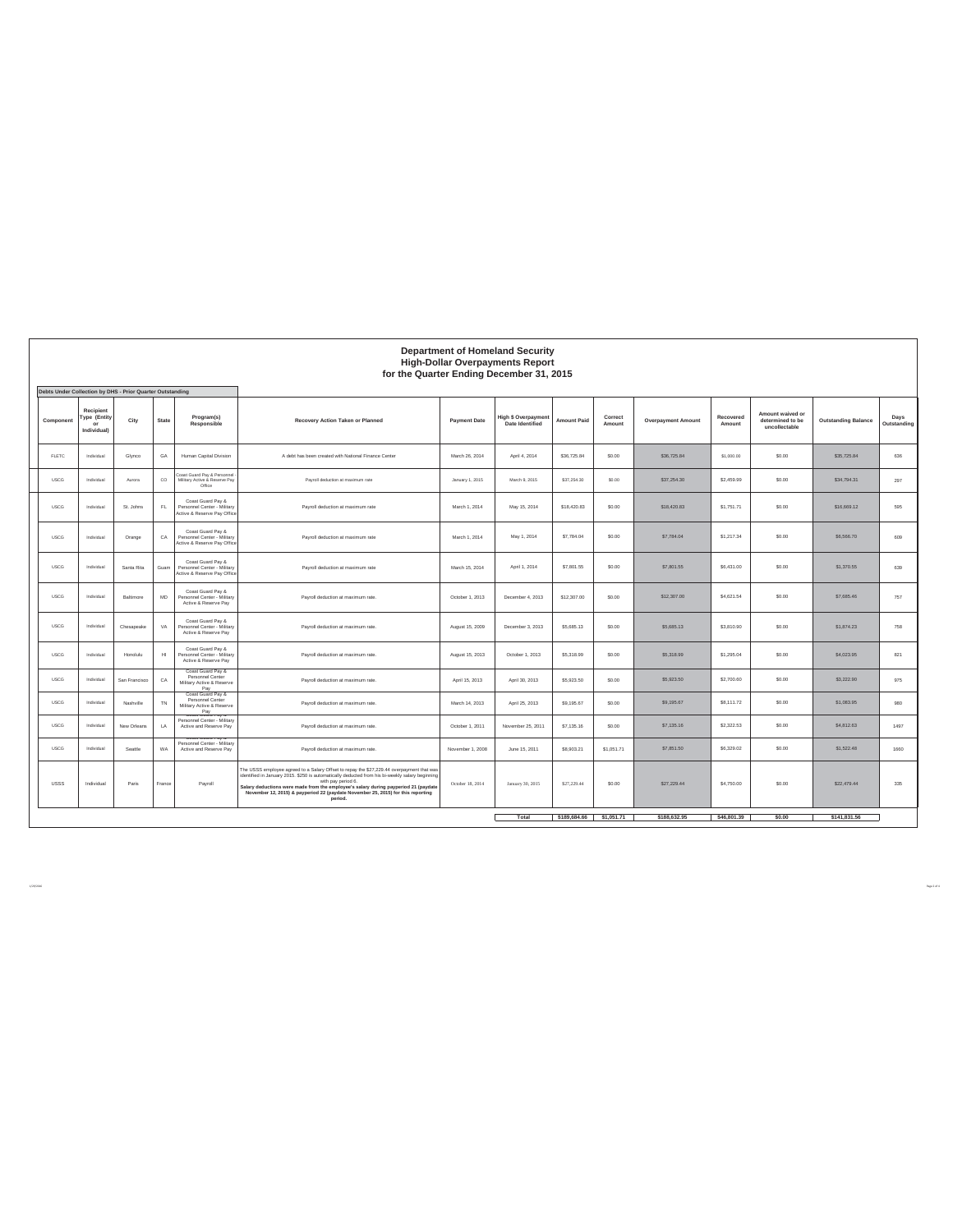|              | <b>Department of Homeland Security</b><br><b>High-Dollar Overpayments Report</b><br>for the Quarter Ending December 31, 2015 |                                                           |             |                                                                                 |                                                                                                                                                                                                                                                                                                                                                                                                          |                     |                                               |                    |                         |                           |                     |                                                       |                            |                     |
|--------------|------------------------------------------------------------------------------------------------------------------------------|-----------------------------------------------------------|-------------|---------------------------------------------------------------------------------|----------------------------------------------------------------------------------------------------------------------------------------------------------------------------------------------------------------------------------------------------------------------------------------------------------------------------------------------------------------------------------------------------------|---------------------|-----------------------------------------------|--------------------|-------------------------|---------------------------|---------------------|-------------------------------------------------------|----------------------------|---------------------|
|              |                                                                                                                              | Debts Under Collection by DHS - Prior Quarter Outstanding |             |                                                                                 |                                                                                                                                                                                                                                                                                                                                                                                                          |                     |                                               |                    |                         |                           |                     |                                                       |                            |                     |
| Component    | Recipient<br>Type (Entity<br>or<br>Individual)                                                                               | City                                                      | State       | Program(s)<br>Responsible                                                       | Recovery Action Taken or Planned                                                                                                                                                                                                                                                                                                                                                                         | <b>Payment Date</b> | <b>High \$ Overpayment</b><br>Date Identified | <b>Amount Paid</b> | Correct<br>Amount       | <b>Overpayment Amount</b> | Recovered<br>Amount | Amount waived or<br>determined to be<br>uncollectable | <b>Outstanding Balance</b> | Days<br>Outstanding |
| <b>FLETC</b> | Individual                                                                                                                   | Glynco                                                    | GA          | Human Capital Division                                                          | A debt has been created with National Finance Center                                                                                                                                                                                                                                                                                                                                                     | March 26, 2014      | April 4, 2014                                 | \$36,725.84        | \$0.00                  | \$36,725.84               | \$1,000.00          | \$0.00                                                | \$35,725.84                | 636                 |
| <b>USCG</b>  | Individual                                                                                                                   | Aurora                                                    | $_{\rm CO}$ | oast Guard Pay & Personnel<br>Military Active & Reserve Pay<br>Office           | Payroll deduction at maximum rate                                                                                                                                                                                                                                                                                                                                                                        | January 1, 2015     | March 9, 2015                                 | \$37,254.30        | \$0.00                  | \$37,254.30               | \$2,459.99          | \$0.00                                                | \$34,794.31                | 297                 |
| <b>USCG</b>  | Individual                                                                                                                   | St. Johns                                                 | FL.         | Coast Guard Pay &<br>Personnel Center - Military<br>Active & Reserve Pay Office | Payroll deduction at maximum rate                                                                                                                                                                                                                                                                                                                                                                        | March 1, 2014       | May 15, 2014                                  | \$18,420.83        | \$0.00                  | \$18,420.83               | \$1,751.71          | \$0.00                                                | \$16,669.12                | 595                 |
| <b>USCG</b>  | Individual                                                                                                                   | Orange                                                    | CA          | Coast Guard Pay &<br>Personnel Center - Military<br>Active & Reserve Pay Office | Payroll deduction at maximum rate                                                                                                                                                                                                                                                                                                                                                                        | March 1, 2014       | May 1, 2014                                   | \$7,784.04         | \$0.00                  | \$7,784.04                | \$1,217.34          | \$0.00                                                | \$6,566.70                 | 609                 |
| <b>USCG</b>  | Individual                                                                                                                   | Santa Rita                                                | Guam        | Coast Guard Pay &<br>Personnel Center - Military<br>Active & Reserve Pay Office | Payroll deduction at maximum rate                                                                                                                                                                                                                                                                                                                                                                        | March 15, 2014      | April 1, 2014                                 | \$7,801.55         | \$0.00                  | \$7,801.55                | \$6,431.00          | \$0.00                                                | \$1,370.55                 | 639                 |
| <b>USCG</b>  | Individual                                                                                                                   | Baltimore                                                 | <b>MD</b>   | Coast Guard Pay &<br>Personnel Center - Military<br>Active & Reserve Pay        | Payroll deduction at maximum rate.                                                                                                                                                                                                                                                                                                                                                                       | October 1, 2013     | December 4, 2013                              | \$12,307.00        | \$0.00                  | \$12,307.00               | \$4,621.54          | \$0.00                                                | \$7,685.46                 | 757                 |
| <b>USCG</b>  | Individual                                                                                                                   | Chesapeake                                                | VA          | Coast Guard Pay &<br>Personnel Center - Military<br>Active & Reserve Pay        | Payroll deduction at maximum rate.                                                                                                                                                                                                                                                                                                                                                                       | August 15, 2009     | December 3, 2013                              | \$5,685.13         | \$0.00                  | \$5,685.13                | \$3,810.90          | \$0.00                                                | \$1,874.23                 | 758                 |
| <b>USCG</b>  | Individual                                                                                                                   | Honolulu                                                  | $H\!I$      | Coast Guard Pay &<br>Personnel Center - Military<br>Active & Reserve Pay        | Payroll deduction at maximum rate.                                                                                                                                                                                                                                                                                                                                                                       | August 15, 2013     | October 1, 2013                               | \$5,318.99         | \$0.00                  | \$5,318.99                | \$1,295.04          | \$0.00                                                | \$4,023.95                 | 821                 |
| <b>USCG</b>  | Individual                                                                                                                   | San Francisco                                             | CA          | Coast Guard Pay &<br>Personnel Center<br>Military Active & Reserve<br>Pay       | Payroll deduction at maximum rate.                                                                                                                                                                                                                                                                                                                                                                       | April 15, 2013      | April 30, 2013                                | \$5,923.50         | \$0.00                  | \$5,923.50                | \$2,700.60          | \$0.00                                                | \$3,222.90                 | 975                 |
| <b>USCG</b>  | Individual                                                                                                                   | Nashville                                                 | TN          | Coast Guard Pay &<br>Personnel Center<br>Military Active & Reserve<br>Pay       | Payroll deduction at maximum rate.                                                                                                                                                                                                                                                                                                                                                                       | March 14, 2013      | April 25, 2013                                | \$9,195.67         | \$0.00                  | \$9,195.67                | \$8.111.72          | \$0.00                                                | \$1,083.95                 | 980                 |
| <b>USCG</b>  | Individual                                                                                                                   | New Orleans                                               | LA          | Personnel Center - Military<br>Active and Reserve Pay                           | Payroll deduction at maximum rate.                                                                                                                                                                                                                                                                                                                                                                       | October 1, 2011     | November 25, 2011                             | \$7,135.16         | \$0.00                  | \$7,135.16                | \$2,322.53          | \$0.00                                                | \$4,812.63                 | 1497                |
| <b>USCG</b>  | Individual                                                                                                                   | Seattle                                                   | <b>WA</b>   | Personnel Center - Military<br>Active and Reserve Pay                           | Payroll deduction at maximum rate.                                                                                                                                                                                                                                                                                                                                                                       | November 1, 2008    | June 15, 2011                                 | \$8,903.21         | \$1,051.71              | \$7,851.50                | \$6,329.02          | \$0.00                                                | \$1,522.48                 | 1660                |
| <b>USSS</b>  | Individual                                                                                                                   | Paris                                                     | France      | Payroll                                                                         | The USSS employee agreed to a Salary Offset to repay the \$27,229.44 overpayment that was<br>identified in January 2015. \$250 is automatically deducted from his bi-weekly salary beginning<br>with pay period 6.<br>Salary deductions were made from the employee's salary during payperiod 21 (paydate<br>November 12, 2015) & payperiod 22 (paydate November 25, 2015) for this reporting<br>period. | October 18, 2014    | January 30, 2015                              | \$27,229.44        | \$0.00                  | \$27,229.44               | \$4,750.00          | \$0.00                                                | \$22,479.44                | 335                 |
|              |                                                                                                                              |                                                           |             |                                                                                 |                                                                                                                                                                                                                                                                                                                                                                                                          |                     | Total                                         |                    | \$189,684.66 \$1,051.71 | \$188,632.95              | \$46,801.39         | \$0.00                                                | \$141,831.56               |                     |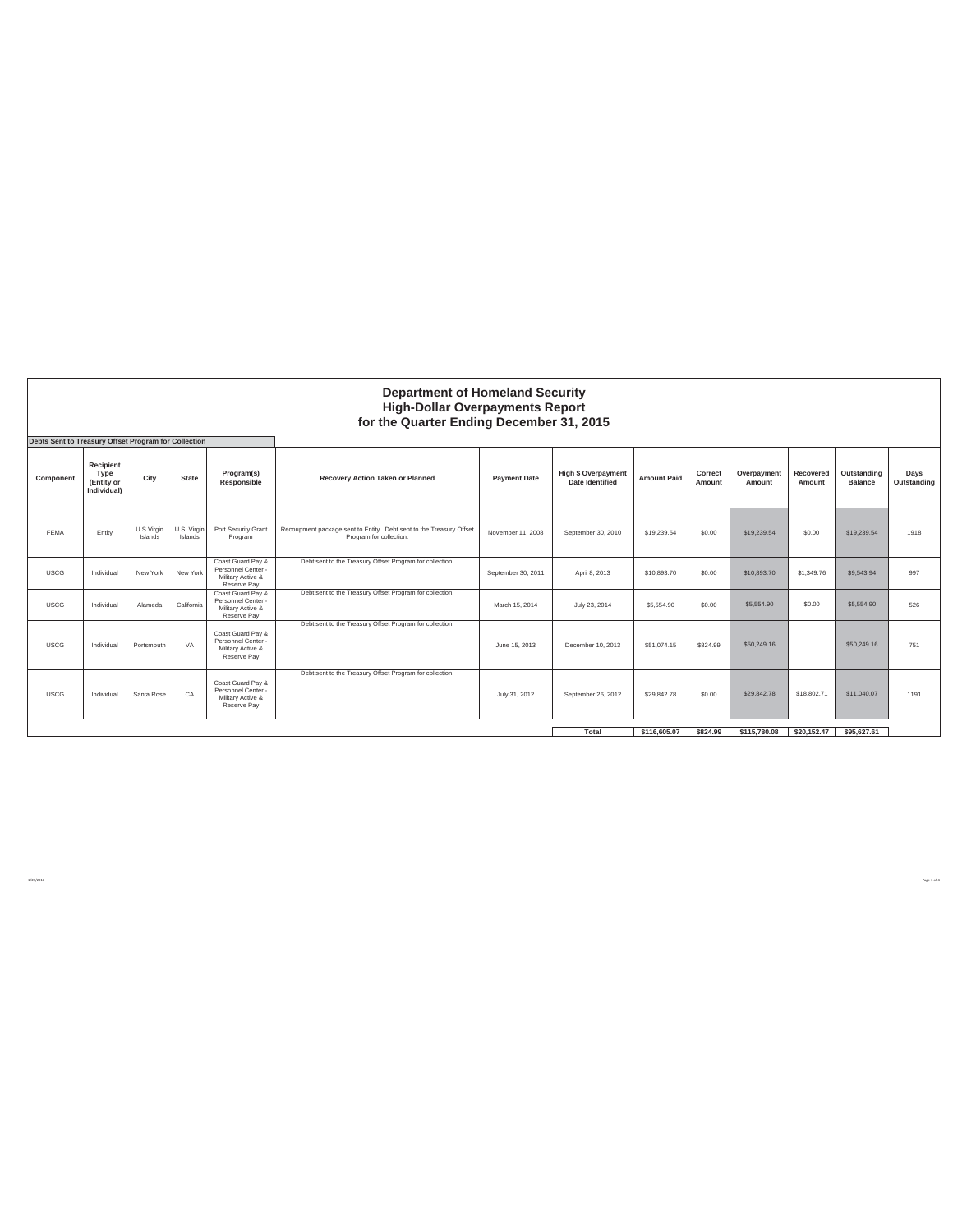|             | <b>Department of Homeland Security</b><br><b>High-Dollar Overpayments Report</b><br>for the Quarter Ending December 31, 2015<br>Debts Sent to Treasury Offset Program for Collection |                       |                        |                                                                             |                                                                                                |                     |                                                      |                    |                   |                       |                     |                               |                     |  |
|-------------|--------------------------------------------------------------------------------------------------------------------------------------------------------------------------------------|-----------------------|------------------------|-----------------------------------------------------------------------------|------------------------------------------------------------------------------------------------|---------------------|------------------------------------------------------|--------------------|-------------------|-----------------------|---------------------|-------------------------------|---------------------|--|
| Component   | Recipient<br>Type<br>(Entity or<br>Individual)                                                                                                                                       | City                  | <b>State</b>           | Program(s)<br>Responsible                                                   | Recovery Action Taken or Planned                                                               | <b>Payment Date</b> | <b>High \$ Overpayment</b><br><b>Date Identified</b> | <b>Amount Paid</b> | Correct<br>Amount | Overpayment<br>Amount | Recovered<br>Amount | Outstanding<br><b>Balance</b> | Days<br>Outstanding |  |
| FFMA        | Entity                                                                                                                                                                               | U.S Virgin<br>Islands | U.S. Virgin<br>Islands | Port Security Grant<br>Program                                              | Recoupment package sent to Entity. Debt sent to the Treasury Offset<br>Program for collection. | November 11, 2008   | September 30, 2010                                   | \$19,239.54        | \$0.00            | \$19,239.54           | \$0.00              | \$19,239.54                   | 1918                |  |
| <b>USCG</b> | Individual                                                                                                                                                                           | New York              | New York               | Coast Guard Pay &<br>Personnel Center -<br>Military Active &<br>Reserve Pav | Debt sent to the Treasury Offset Program for collection.                                       | September 30, 2011  | April 8, 2013                                        | \$10,893.70        | \$0.00            | \$10,893.70           | \$1,349.76          | \$9,543.94                    | 997                 |  |
| <b>USCG</b> | Individual                                                                                                                                                                           | Alameda               | California             | Coast Guard Pav &<br>Personnel Center -<br>Military Active &<br>Reserve Pav | Debt sent to the Treasury Offset Program for collection.                                       | March 15, 2014      | July 23, 2014                                        | \$5,554.90         | \$0.00            | \$5,554.90            | \$0.00              | \$5,554.90                    | 526                 |  |
| <b>USCG</b> | Individual                                                                                                                                                                           | Portsmouth            | VA                     | Coast Guard Pay &<br>Personnel Center -<br>Military Active &<br>Reserve Pay | Debt sent to the Treasury Offset Program for collection.                                       | June 15, 2013       | December 10, 2013                                    | \$51.074.15        | \$824.99          | \$50,249.16           |                     | \$50,249.16                   | 751                 |  |
| <b>USCG</b> | Individual                                                                                                                                                                           | Santa Rose            | CA                     | Coast Guard Pay &<br>Personnel Center -<br>Military Active &<br>Reserve Pav | Debt sent to the Treasury Offset Program for collection.                                       | July 31, 2012       | September 26, 2012                                   | \$29,842.78        | \$0.00            | \$29,842.78           | \$18,802.71         | \$11,040.07                   | 1191                |  |
|             |                                                                                                                                                                                      |                       |                        |                                                                             |                                                                                                | Total               | \$116,605.07                                         | \$824.99           | \$115,780.08      | \$20,152.47           | \$95,627.61         |                               |                     |  |